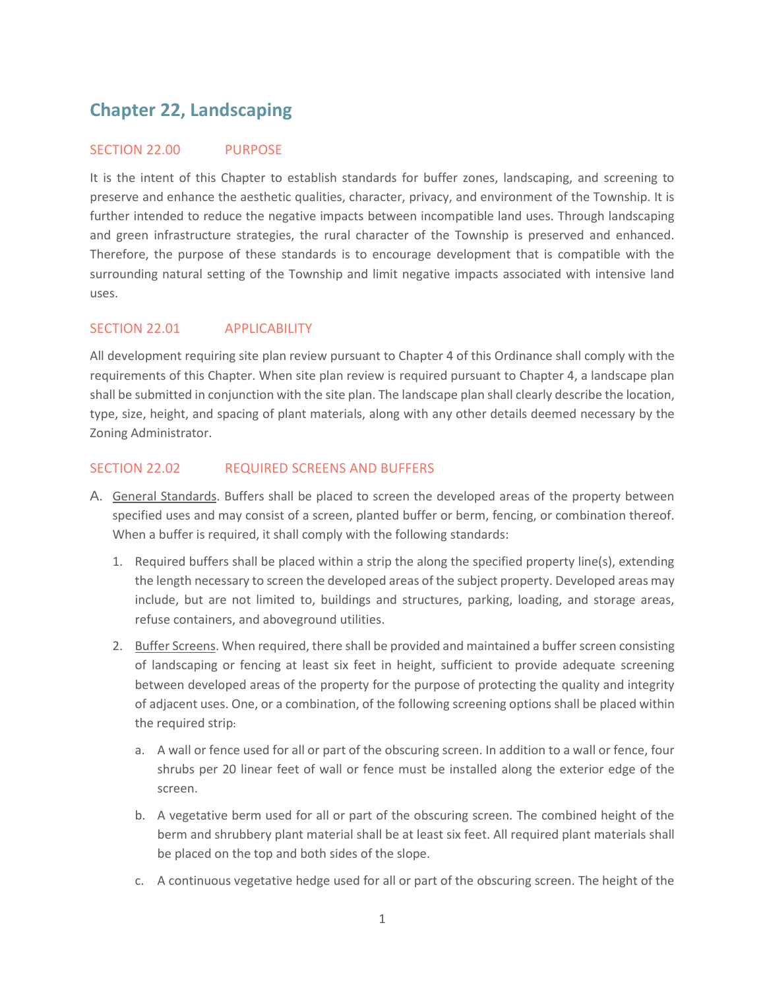# **Chapter 22, Landscaping**

## SECTION 22.00 PURPOSE

It is the intent of this Chapter to establish standards for buffer zones, landscaping, and screening to preserve and enhance the aesthetic qualities, character, privacy, and environment of the Township. It is further intended to reduce the negative impacts between incompatible land uses. Through landscaping and green infrastructure strategies, the rural character of the Township is preserved and enhanced. Therefore, the purpose of these standards is to encourage development that is compatible with the surrounding natural setting of the Township and limit negative impacts associated with intensive land uses.

# SECTION 22.01 APPLICABILITY

All development requiring site plan review pursuant to Chapter 4 of this Ordinance shall comply with the requirements of this Chapter. When site plan review is required pursuant to Chapter 4, a landscape plan shall be submitted in conjunction with the site plan. The landscape plan shall clearly describe the location, type, size, height, and spacing of plant materials, along with any other details deemed necessary by the Zoning Administrator.

# SECTION 22.02 REQUIRED SCREENS AND BUFFERS

- A. General Standards. Buffers shall be placed to screen the developed areas of the property between specified uses and may consist of a screen, planted buffer or berm, fencing, or combination thereof. When a buffer is required, it shall comply with the following standards:
	- 1. Required buffers shall be placed within a strip the along the specified property line(s), extending the length necessary to screen the developed areas of the subject property. Developed areas may include, but are not limited to, buildings and structures, parking, loading, and storage areas, refuse containers, and aboveground utilities.
	- 2. Buffer Screens. When required, there shall be provided and maintained a buffer screen consisting of landscaping or fencing at least six feet in height, sufficient to provide adequate screening between developed areas of the property for the purpose of protecting the quality and integrity of adjacent uses. One, or a combination, of the following screening options shall be placed within the required strip:
		- a. A wall or fence used for all or part of the obscuring screen. In addition to a wall or fence, four shrubs per 20 linear feet of wall or fence must be installed along the exterior edge of the screen.
		- b. A vegetative berm used for all or part of the obscuring screen. The combined height of the berm and shrubbery plant material shall be at least six feet. All required plant materials shall be placed on the top and both sides of the slope.
		- c. A continuous vegetative hedge used for all or part of the obscuring screen. The height of the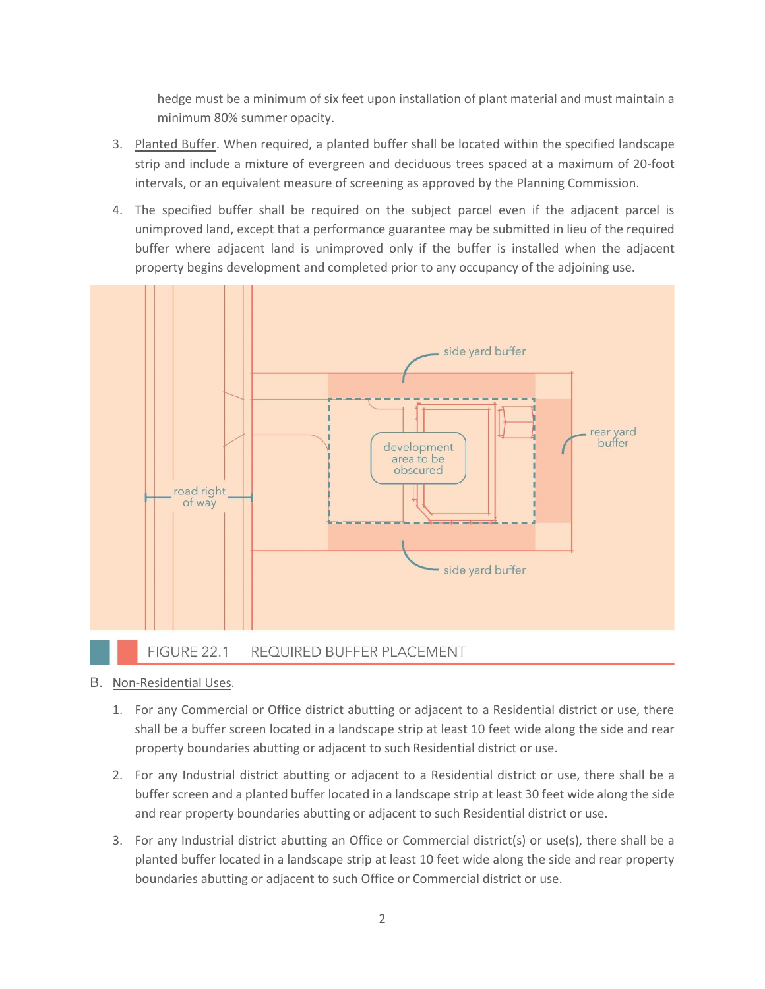hedge must be a minimum of six feet upon installation of plant material and must maintain a minimum 80% summer opacity.

- 3. Planted Buffer. When required, a planted buffer shall be located within the specified landscape strip and include a mixture of evergreen and deciduous trees spaced at a maximum of 20-foot intervals, or an equivalent measure of screening as approved by the Planning Commission.
- 4. The specified buffer shall be required on the subject parcel even if the adjacent parcel is unimproved land, except that a performance guarantee may be submitted in lieu of the required buffer where adjacent land is unimproved only if the buffer is installed when the adjacent property begins development and completed prior to any occupancy of the adjoining use.



- B. Non-Residential Uses.
	- 1. For any Commercial or Office district abutting or adjacent to a Residential district or use, there shall be a buffer screen located in a landscape strip at least 10 feet wide along the side and rear property boundaries abutting or adjacent to such Residential district or use.
	- 2. For any Industrial district abutting or adjacent to a Residential district or use, there shall be a buffer screen and a planted buffer located in a landscape strip at least 30 feet wide along the side and rear property boundaries abutting or adjacent to such Residential district or use.
	- 3. For any Industrial district abutting an Office or Commercial district(s) or use(s), there shall be a planted buffer located in a landscape strip at least 10 feet wide along the side and rear property boundaries abutting or adjacent to such Office or Commercial district or use.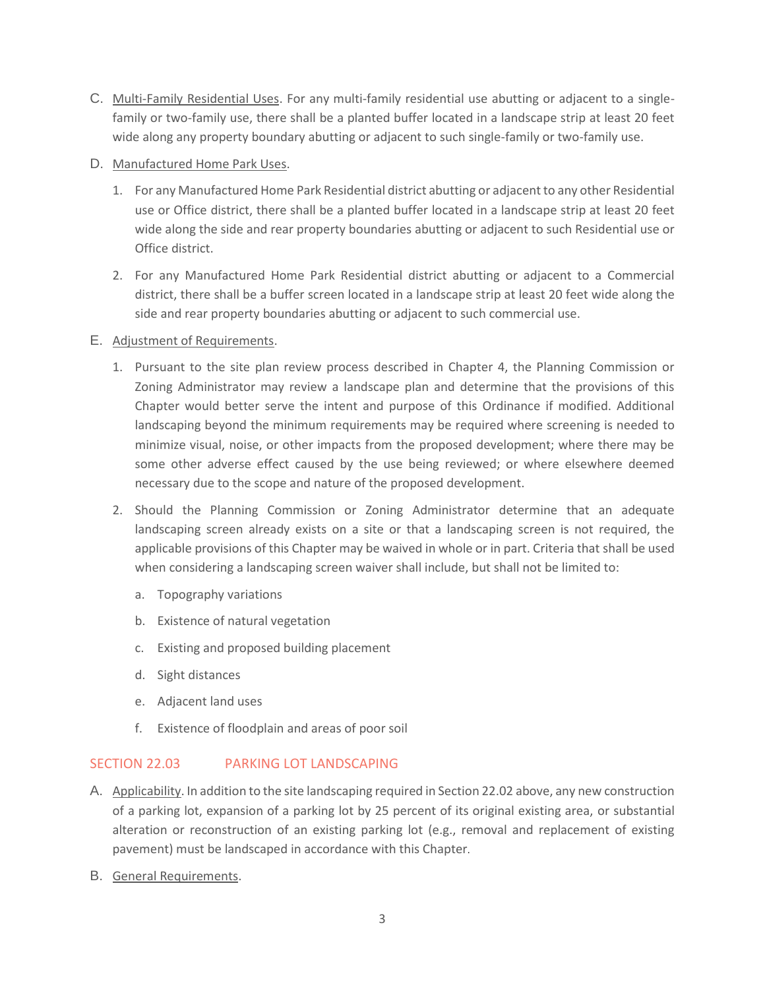C. Multi-Family Residential Uses. For any multi-family residential use abutting or adjacent to a singlefamily or two-family use, there shall be a planted buffer located in a landscape strip at least 20 feet wide along any property boundary abutting or adjacent to such single-family or two-family use.

## D. Manufactured Home Park Uses.

- 1. For any Manufactured Home Park Residential district abutting or adjacent to any other Residential use or Office district, there shall be a planted buffer located in a landscape strip at least 20 feet wide along the side and rear property boundaries abutting or adjacent to such Residential use or Office district.
- 2. For any Manufactured Home Park Residential district abutting or adjacent to a Commercial district, there shall be a buffer screen located in a landscape strip at least 20 feet wide along the side and rear property boundaries abutting or adjacent to such commercial use.

# E. Adjustment of Requirements.

- 1. Pursuant to the site plan review process described in Chapter 4, the Planning Commission or Zoning Administrator may review a landscape plan and determine that the provisions of this Chapter would better serve the intent and purpose of this Ordinance if modified. Additional landscaping beyond the minimum requirements may be required where screening is needed to minimize visual, noise, or other impacts from the proposed development; where there may be some other adverse effect caused by the use being reviewed; or where elsewhere deemed necessary due to the scope and nature of the proposed development.
- 2. Should the Planning Commission or Zoning Administrator determine that an adequate landscaping screen already exists on a site or that a landscaping screen is not required, the applicable provisions of this Chapter may be waived in whole or in part. Criteria that shall be used when considering a landscaping screen waiver shall include, but shall not be limited to:
	- a. Topography variations
	- b. Existence of natural vegetation
	- c. Existing and proposed building placement
	- d. Sight distances
	- e. Adjacent land uses
	- f. Existence of floodplain and areas of poor soil

# SECTION 22.03 PARKING LOT LANDSCAPING

- A. Applicability. In addition to the site landscaping required in Section 22.02 above, any new construction of a parking lot, expansion of a parking lot by 25 percent of its original existing area, or substantial alteration or reconstruction of an existing parking lot (e.g., removal and replacement of existing pavement) must be landscaped in accordance with this Chapter.
- B. General Requirements.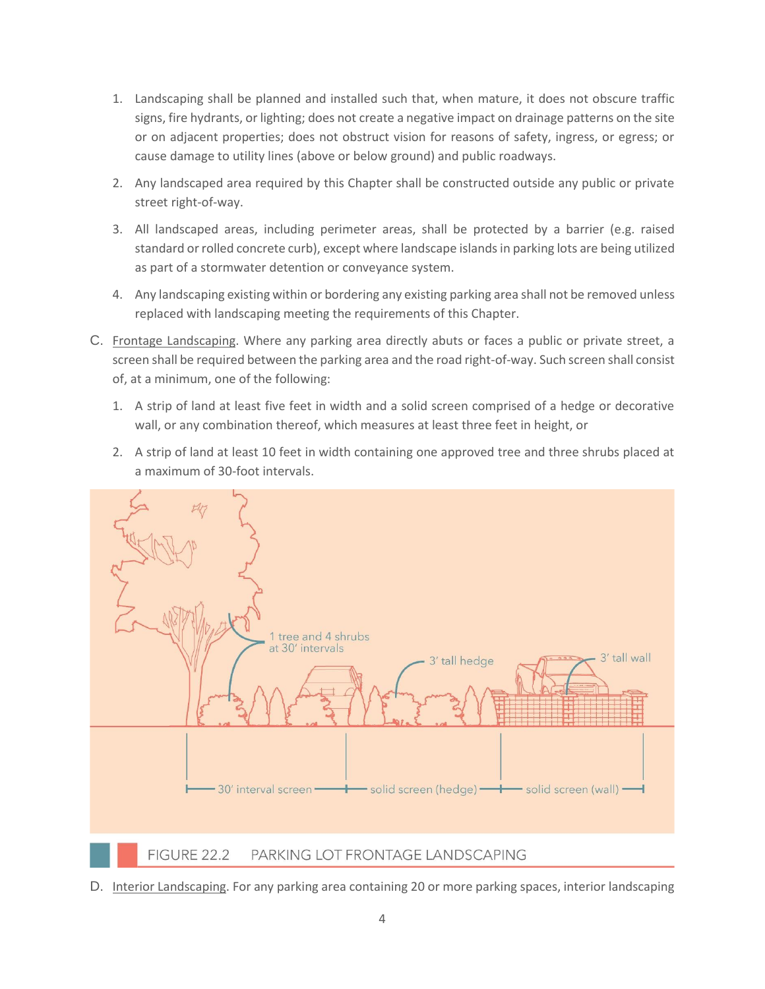- 1. Landscaping shall be planned and installed such that, when mature, it does not obscure traffic signs, fire hydrants, or lighting; does not create a negative impact on drainage patterns on the site or on adjacent properties; does not obstruct vision for reasons of safety, ingress, or egress; or cause damage to utility lines (above or below ground) and public roadways.
- 2. Any landscaped area required by this Chapter shall be constructed outside any public or private street right-of-way.
- 3. All landscaped areas, including perimeter areas, shall be protected by a barrier (e.g. raised standard or rolled concrete curb), except where landscape islands in parking lots are being utilized as part of a stormwater detention or conveyance system.
- 4. Any landscaping existing within or bordering any existing parking area shall not be removed unless replaced with landscaping meeting the requirements of this Chapter.
- C. Frontage Landscaping. Where any parking area directly abuts or faces a public or private street, a screen shall be required between the parking area and the road right-of-way. Such screen shall consist of, at a minimum, one of the following:
	- 1. A strip of land at least five feet in width and a solid screen comprised of a hedge or decorative wall, or any combination thereof, which measures at least three feet in height, or
	- 2. A strip of land at least 10 feet in width containing one approved tree and three shrubs placed at a maximum of 30-foot intervals.



D. Interior Landscaping. For any parking area containing 20 or more parking spaces, interior landscaping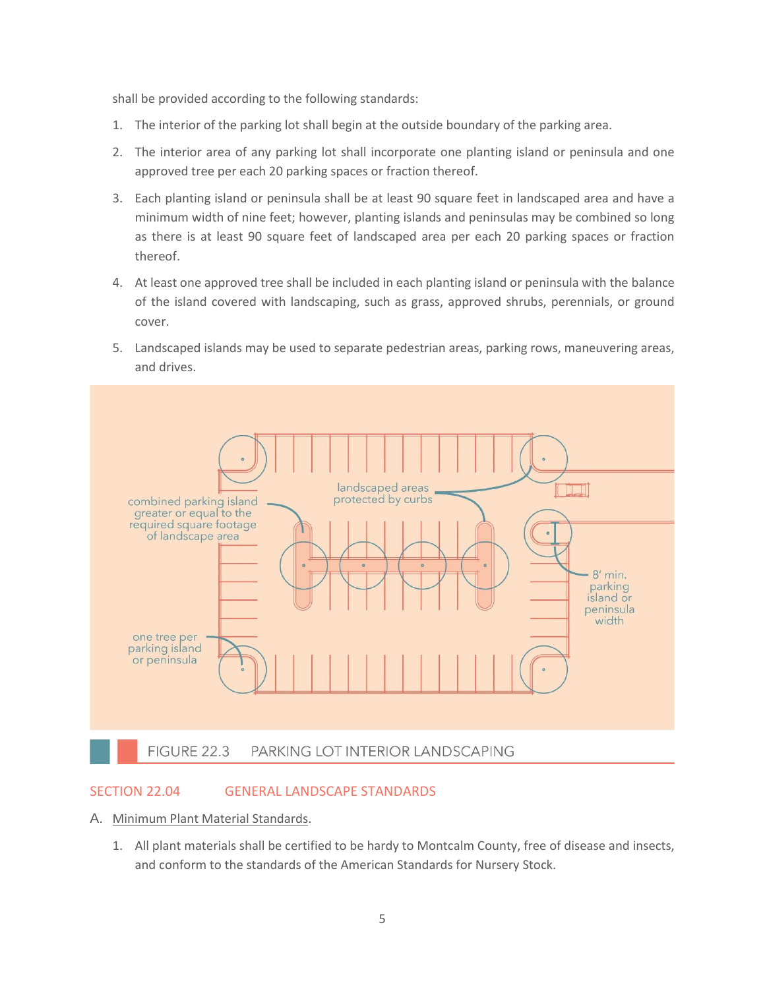shall be provided according to the following standards:

- 1. The interior of the parking lot shall begin at the outside boundary of the parking area.
- 2. The interior area of any parking lot shall incorporate one planting island or peninsula and one approved tree per each 20 parking spaces or fraction thereof.
- 3. Each planting island or peninsula shall be at least 90 square feet in landscaped area and have a minimum width of nine feet; however, planting islands and peninsulas may be combined so long as there is at least 90 square feet of landscaped area per each 20 parking spaces or fraction thereof.
- 4. At least one approved tree shall be included in each planting island or peninsula with the balance of the island covered with landscaping, such as grass, approved shrubs, perennials, or ground cover.
- 5. Landscaped islands may be used to separate pedestrian areas, parking rows, maneuvering areas, and drives.



#### SECTION 22.04 GENERAL LANDSCAPE STANDARDS

- A. Minimum Plant Material Standards.
	- 1. All plant materials shall be certified to be hardy to Montcalm County, free of disease and insects, and conform to the standards of the American Standards for Nursery Stock.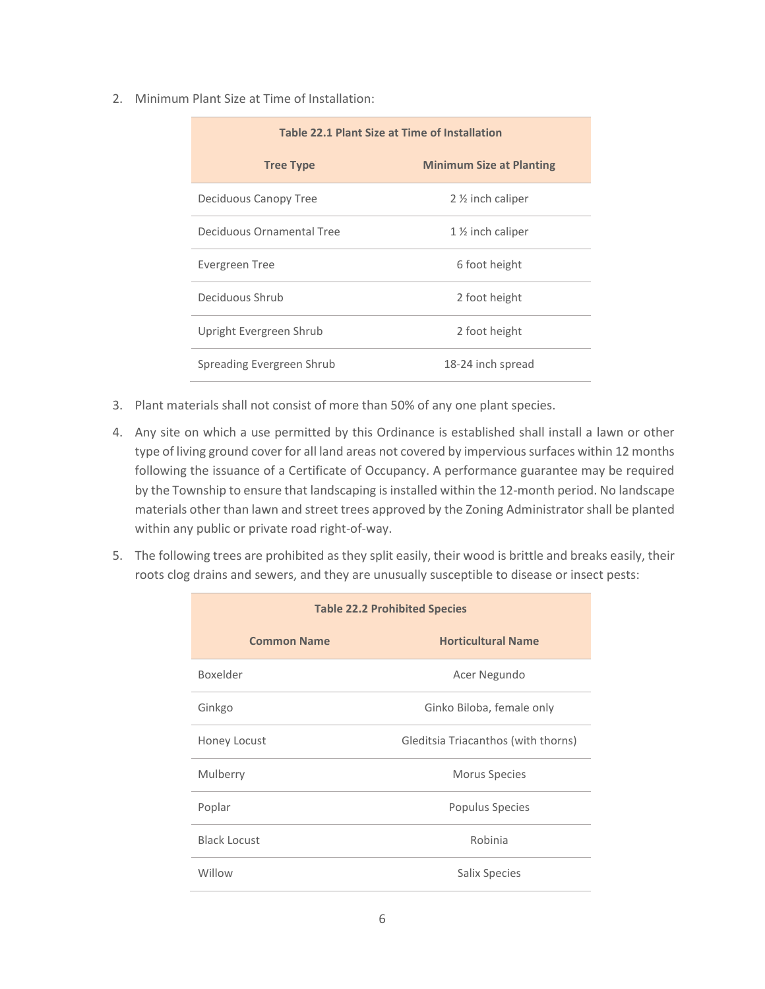2. Minimum Plant Size at Time of Installation:

| Table 22.1 Plant Size at Time of Installation |                                 |  |
|-----------------------------------------------|---------------------------------|--|
| <b>Tree Type</b>                              | <b>Minimum Size at Planting</b> |  |
| Deciduous Canopy Tree                         | $2\frac{1}{2}$ inch caliper     |  |
| Deciduous Ornamental Tree                     | $1\%$ inch caliper              |  |
| Evergreen Tree                                | 6 foot height                   |  |
| Deciduous Shrub                               | 2 foot height                   |  |
| Upright Evergreen Shrub                       | 2 foot height                   |  |
| Spreading Evergreen Shrub                     | 18-24 inch spread               |  |

- 3. Plant materials shall not consist of more than 50% of any one plant species.
- 4. Any site on which a use permitted by this Ordinance is established shall install a lawn or other type of living ground cover for all land areas not covered by impervious surfaces within 12 months following the issuance of a Certificate of Occupancy. A performance guarantee may be required by the Township to ensure that landscaping is installed within the 12-month period. No landscape materials other than lawn and street trees approved by the Zoning Administrator shall be planted within any public or private road right-of-way.
- 5. The following trees are prohibited as they split easily, their wood is brittle and breaks easily, their roots clog drains and sewers, and they are unusually susceptible to disease or insect pests:

| <b>Table 22.2 Prohibited Species</b> |                                     |  |
|--------------------------------------|-------------------------------------|--|
| <b>Common Name</b>                   | <b>Horticultural Name</b>           |  |
| Boxelder                             | Acer Negundo                        |  |
| Ginkgo                               | Ginko Biloba, female only           |  |
| Honey Locust                         | Gleditsia Triacanthos (with thorns) |  |
| Mulberry                             | <b>Morus Species</b>                |  |
| Poplar                               | Populus Species                     |  |
| <b>Black Locust</b>                  | Robinia                             |  |
| Willow                               | <b>Salix Species</b>                |  |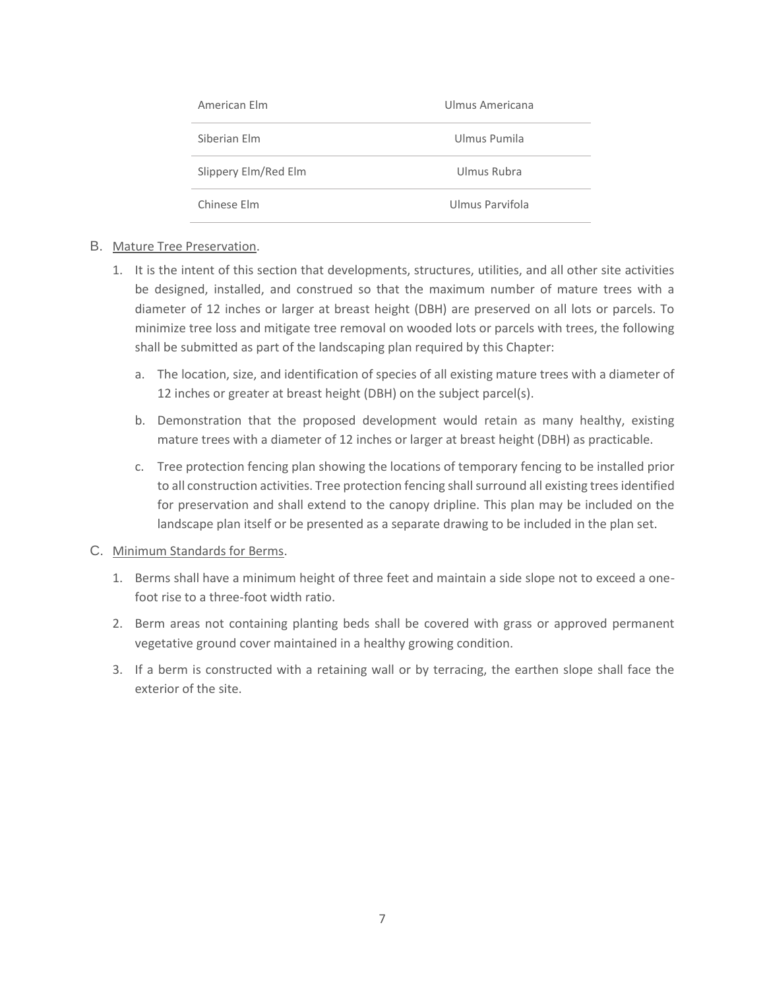| American Elm         | Ulmus Americana |
|----------------------|-----------------|
| Siberian Flm         | Ulmus Pumila    |
| Slippery Elm/Red Elm | Ulmus Rubra     |
| Chinese Flm          | Ulmus Parvifola |

#### B. Mature Tree Preservation.

- 1. It is the intent of this section that developments, structures, utilities, and all other site activities be designed, installed, and construed so that the maximum number of mature trees with a diameter of 12 inches or larger at breast height (DBH) are preserved on all lots or parcels. To minimize tree loss and mitigate tree removal on wooded lots or parcels with trees, the following shall be submitted as part of the landscaping plan required by this Chapter:
	- a. The location, size, and identification of species of all existing mature trees with a diameter of 12 inches or greater at breast height (DBH) on the subject parcel(s).
	- b. Demonstration that the proposed development would retain as many healthy, existing mature trees with a diameter of 12 inches or larger at breast height (DBH) as practicable.
	- c. Tree protection fencing plan showing the locations of temporary fencing to be installed prior to all construction activities. Tree protection fencing shall surround all existing trees identified for preservation and shall extend to the canopy dripline. This plan may be included on the landscape plan itself or be presented as a separate drawing to be included in the plan set.

#### C. Minimum Standards for Berms.

- 1. Berms shall have a minimum height of three feet and maintain a side slope not to exceed a onefoot rise to a three-foot width ratio.
- 2. Berm areas not containing planting beds shall be covered with grass or approved permanent vegetative ground cover maintained in a healthy growing condition.
- 3. If a berm is constructed with a retaining wall or by terracing, the earthen slope shall face the exterior of the site.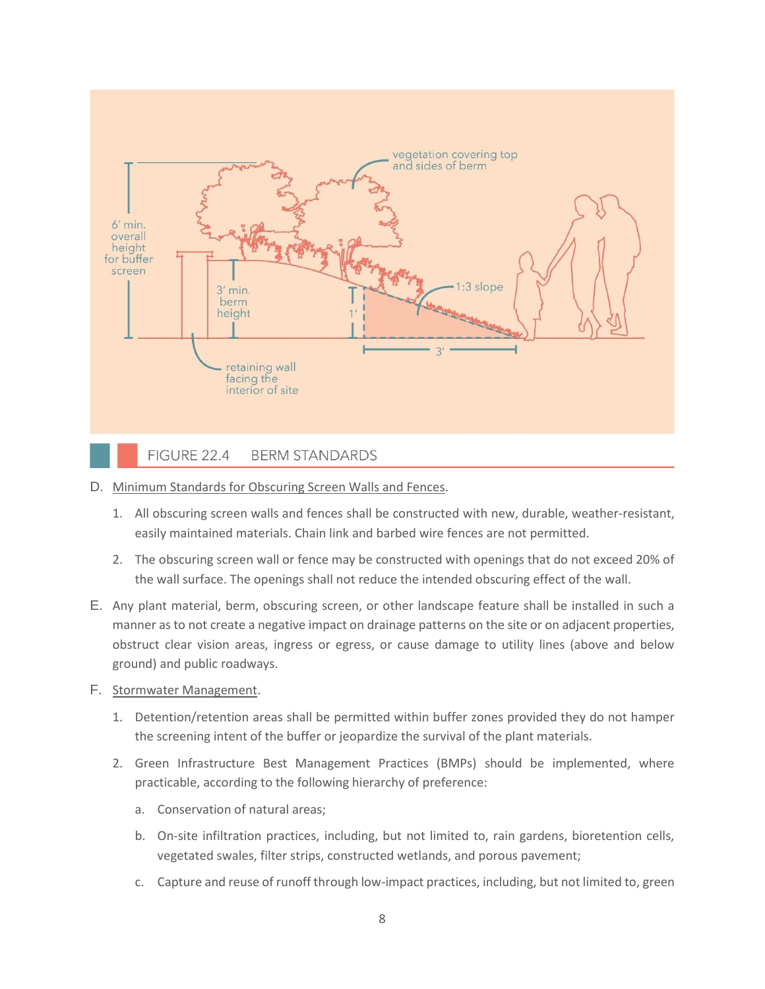

- D. Minimum Standards for Obscuring Screen Walls and Fences.
	- 1. All obscuring screen walls and fences shall be constructed with new, durable, weather-resistant, easily maintained materials. Chain link and barbed wire fences are not permitted.
	- 2. The obscuring screen wall or fence may be constructed with openings that do not exceed 20% of the wall surface. The openings shall not reduce the intended obscuring effect of the wall.
- E. Any plant material, berm, obscuring screen, or other landscape feature shall be installed in such a manner as to not create a negative impact on drainage patterns on the site or on adjacent properties, obstruct clear vision areas, ingress or egress, or cause damage to utility lines (above and below ground) and public roadways.
- F. Stormwater Management.
	- 1. Detention/retention areas shall be permitted within buffer zones provided they do not hamper the screening intent of the buffer or jeopardize the survival of the plant materials.
	- 2. Green Infrastructure Best Management Practices (BMPs) should be implemented, where practicable, according to the following hierarchy of preference:
		- a. Conservation of natural areas;
		- b. On-site infiltration practices, including, but not limited to, rain gardens, bioretention cells, vegetated swales, filter strips, constructed wetlands, and porous pavement;
		- c. Capture and reuse of runoff through low-impact practices, including, but not limited to, green